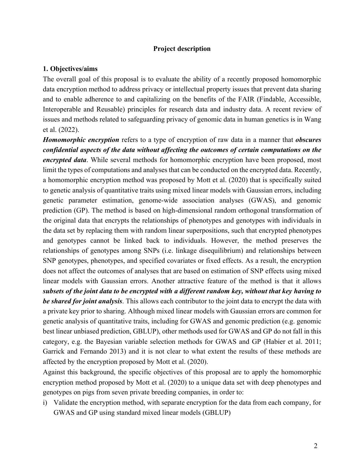#### **Project description**

#### **1. Objectives/aims**

The overall goal of this proposal is to evaluate the ability of a recently proposed homomorphic data encryption method to address privacy or intellectual property issues that prevent data sharing and to enable adherence to and capitalizing on the benefits of the FAIR (Findable, Accessible, Interoperable and Reusable) principles for research data and industry data. A recent review of issues and methods related to safeguarding privacy of genomic data in human genetics is in Wang et al. (2022).

*Homomorphic encryption* refers to a type of encryption of raw data in a manner that *obscures confidential aspects of the data without affecting the outcomes of certain computations on the encrypted data*. While several methods for homomorphic encryption have been proposed, most limit the types of computations and analyses that can be conducted on the encrypted data. Recently, a homomorphic encryption method was proposed by Mott et al. (2020) that is specifically suited to genetic analysis of quantitative traits using mixed linear models with Gaussian errors, including genetic parameter estimation, genome-wide association analyses (GWAS), and genomic prediction (GP). The method is based on high-dimensional random orthogonal transformation of the original data that encrypts the relationships of phenotypes and genotypes with individuals in the data set by replacing them with random linear superpositions, such that encrypted phenotypes and genotypes cannot be linked back to individuals. However, the method preserves the relationships of genotypes among SNPs (i.e. linkage disequilibrium) and relationships between SNP genotypes, phenotypes, and specified covariates or fixed effects. As a result, the encryption does not affect the outcomes of analyses that are based on estimation of SNP effects using mixed linear models with Gaussian errors. Another attractive feature of the method is that it allows *subsets of the joint data to be encrypted with a different random key, without that key having to be shared for joint analysis*. This allows each contributor to the joint data to encrypt the data with a private key prior to sharing. Although mixed linear models with Gaussian errors are common for genetic analysis of quantitative traits, including for GWAS and genomic prediction (e.g. genomic best linear unbiased prediction, GBLUP), other methods used for GWAS and GP do not fall in this category, e.g. the Bayesian variable selection methods for GWAS and GP (Habier et al. 2011; Garrick and Fernando 2013) and it is not clear to what extent the results of these methods are affected by the encryption proposed by Mott et al. (2020).

Against this background, the specific objectives of this proposal are to apply the homomorphic encryption method proposed by Mott et al. (2020) to a unique data set with deep phenotypes and genotypes on pigs from seven private breeding companies, in order to:

i) Validate the encryption method, with separate encryption for the data from each company, for GWAS and GP using standard mixed linear models (GBLUP)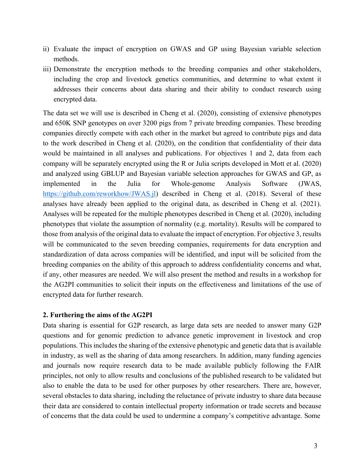- ii) Evaluate the impact of encryption on GWAS and GP using Bayesian variable selection methods.
- iii) Demonstrate the encryption methods to the breeding companies and other stakeholders, including the crop and livestock genetics communities, and determine to what extent it addresses their concerns about data sharing and their ability to conduct research using encrypted data.

The data set we will use is described in Cheng et al. (2020), consisting of extensive phenotypes and 650K SNP genotypes on over 3200 pigs from 7 private breeding companies. These breeding companies directly compete with each other in the market but agreed to contribute pigs and data to the work described in Cheng et al. (2020), on the condition that confidentiality of their data would be maintained in all analyses and publications. For objectives 1 and 2, data from each company will be separately encrypted using the R or Julia scripts developed in Mott et al. (2020) and analyzed using GBLUP and Bayesian variable selection approaches for GWAS and GP, as implemented in the Julia for Whole-genome Analysis Software (JWAS, https://github.com/reworkhow/JWAS.jl) described in Cheng et al. (2018). Several of these analyses have already been applied to the original data, as described in Cheng et al. (2021). Analyses will be repeated for the multiple phenotypes described in Cheng et al. (2020), including phenotypes that violate the assumption of normality (e.g. mortality). Results will be compared to those from analysis of the original data to evaluate the impact of encryption. For objective 3, results will be communicated to the seven breeding companies, requirements for data encryption and standardization of data across companies will be identified, and input will be solicited from the breeding companies on the ability of this approach to address confidentiality concerns and what, if any, other measures are needed. We will also present the method and results in a workshop for the AG2PI communities to solicit their inputs on the effectiveness and limitations of the use of encrypted data for further research.

#### **2. Furthering the aims of the AG2PI**

Data sharing is essential for G2P research, as large data sets are needed to answer many G2P questions and for genomic prediction to advance genetic improvement in livestock and crop populations. This includes the sharing of the extensive phenotypic and genetic data that is available in industry, as well as the sharing of data among researchers. In addition, many funding agencies and journals now require research data to be made available publicly following the FAIR principles, not only to allow results and conclusions of the published research to be validated but also to enable the data to be used for other purposes by other researchers. There are, however, several obstacles to data sharing, including the reluctance of private industry to share data because their data are considered to contain intellectual property information or trade secrets and because of concerns that the data could be used to undermine a company's competitive advantage. Some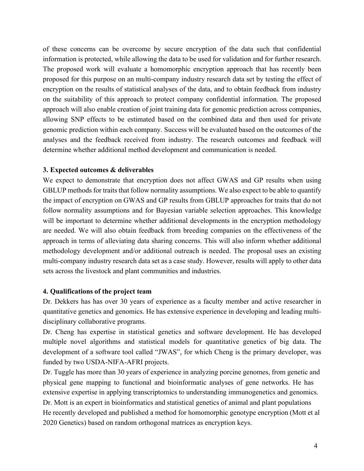of these concerns can be overcome by secure encryption of the data such that confidential information is protected, while allowing the data to be used for validation and for further research. The proposed work will evaluate a homomorphic encryption approach that has recently been proposed for this purpose on an multi-company industry research data set by testing the effect of encryption on the results of statistical analyses of the data, and to obtain feedback from industry on the suitability of this approach to protect company confidential information. The proposed approach will also enable creation of joint training data for genomic prediction across companies, allowing SNP effects to be estimated based on the combined data and then used for private genomic prediction within each company. Success will be evaluated based on the outcomes of the analyses and the feedback received from industry. The research outcomes and feedback will determine whether additional method development and communication is needed.

# **3. Expected outcomes & deliverables**

We expect to demonstrate that encryption does not affect GWAS and GP results when using GBLUP methods for traits that follow normality assumptions. We also expect to be able to quantify the impact of encryption on GWAS and GP results from GBLUP approaches for traits that do not follow normality assumptions and for Bayesian variable selection approaches. This knowledge will be important to determine whether additional developments in the encryption methodology are needed. We will also obtain feedback from breeding companies on the effectiveness of the approach in terms of alleviating data sharing concerns. This will also inform whether additional methodology development and/or additional outreach is needed. The proposal uses an existing multi-company industry research data set as a case study. However, results will apply to other data sets across the livestock and plant communities and industries.

# **4. Qualifications of the project team**

Dr. Dekkers has has over 30 years of experience as a faculty member and active researcher in quantitative genetics and genomics. He has extensive experience in developing and leading multidisciplinary collaborative programs.

Dr. Cheng has expertise in statistical genetics and software development. He has developed multiple novel algorithms and statistical models for quantitative genetics of big data. The development of a software tool called "JWAS", for which Cheng is the primary developer, was funded by two USDA-NIFA-AFRI projects.

Dr. Tuggle has more than 30 years of experience in analyzing porcine genomes, from genetic and physical gene mapping to functional and bioinformatic analyses of gene networks. He has extensive expertise in applying transcriptomics to understanding immunogenetics and genomics. Dr. Mott is an expert in bioinformatics and statistical genetics of animal and plant populations He recently developed and published a method for homomorphic genotype encryption (Mott et al 2020 Genetics) based on random orthogonal matrices as encryption keys.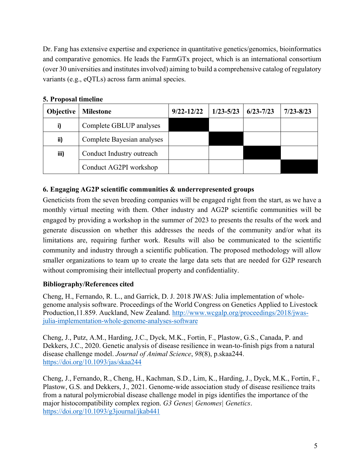Dr. Fang has extensive expertise and experience in quantitative genetics/genomics, bioinformatics and comparative genomics. He leads the FarmGTx project, which is an international consortium (over 30 universities and institutes involved) aiming to build a comprehensive catalog of regulatory variants (e.g., eQTLs) across farm animal species.

| --------  |                            |                |               |               |               |
|-----------|----------------------------|----------------|---------------|---------------|---------------|
| Objective | <b>Milestone</b>           | $9/22 - 12/22$ | $1/23 - 5/23$ | $6/23 - 7/23$ | $7/23 - 8/23$ |
| i)        | Complete GBLUP analyses    |                |               |               |               |
| ii)       | Complete Bayesian analyses |                |               |               |               |
| iii)      | Conduct Industry outreach  |                |               |               |               |
|           | Conduct AG2PI workshop     |                |               |               |               |

#### **5. Proposal timeline**

# **6. Engaging AG2P scientific communities & underrepresented groups**

Geneticists from the seven breeding companies will be engaged right from the start, as we have a monthly virtual meeting with them. Other industry and AG2P scientific communities will be engaged by providing a workshop in the summer of 2023 to presents the results of the work and generate discussion on whether this addresses the needs of the community and/or what its limitations are, requiring further work. Results will also be communicated to the scientific community and industry through a scientific publication. The proposed methodology will allow smaller organizations to team up to create the large data sets that are needed for G2P research without compromising their intellectual property and confidentiality.

# **Bibliography/References cited**

Cheng, H., Fernando, R. L., and Garrick, D. J. 2018 JWAS: Julia implementation of wholegenome analysis software. Proceedings of the World Congress on Genetics Applied to Livestock Production,11.859. Auckland, New Zealand. http://www.wcgalp.org/proceedings/2018/jwasjulia-implementation-whole-genome-analyses-software

Cheng, J., Putz, A.M., Harding, J.C., Dyck, M.K., Fortin, F., Plastow, G.S., Canada, P. and Dekkers, J.C., 2020. Genetic analysis of disease resilience in wean-to-finish pigs from a natural disease challenge model. *Journal of Animal Science*, *98*(8), p.skaa244. https://doi.org/10.1093/jas/skaa244

Cheng, J., Fernando, R., Cheng, H., Kachman, S.D., Lim, K., Harding, J., Dyck, M.K., Fortin, F., Plastow, G.S. and Dekkers, J., 2021. Genome-wide association study of disease resilience traits from a natural polymicrobial disease challenge model in pigs identifies the importance of the major histocompatibility complex region. *G3 Genes| Genomes| Genetics*. https://doi.org/10.1093/g3journal/jkab441